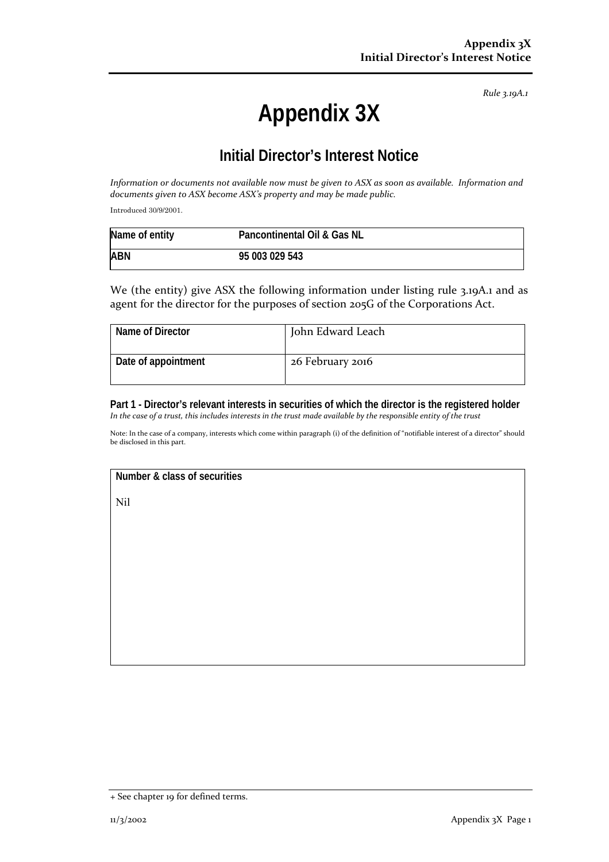*Rule 3.19A.1*

# **Appendix 3X**

## **Initial Director's Interest Notice**

Information or documents not available now must be given to ASX as soon as available. Information and *documents given to ASX become ASX's property and may be made public.*

Introduced 30/9/2001.

| Name of entity | Pancontinental Oil & Gas NL |  |
|----------------|-----------------------------|--|
| <b>ABN</b>     | 95 003 029 543              |  |

We (the entity) give ASX the following information under listing rule 3.19A.1 and as agent for the director for the purposes of section 205G of the Corporations Act.

| Name of Director    | John Edward Leach |
|---------------------|-------------------|
| Date of appointment | 26 February 2016  |

#### **Part 1 - Director's relevant interests in securities of which the director is the registered holder**  In the case of a trust, this includes interests in the trust made available by the responsible entity of the trust

Note: In the case of a company, interests which come within paragraph (i) of the definition of "notifiable interest of a director" should be disclosed in this part.

### **Number & class of securities**

Nil

<sup>+</sup> See chapter 19 for defined terms.